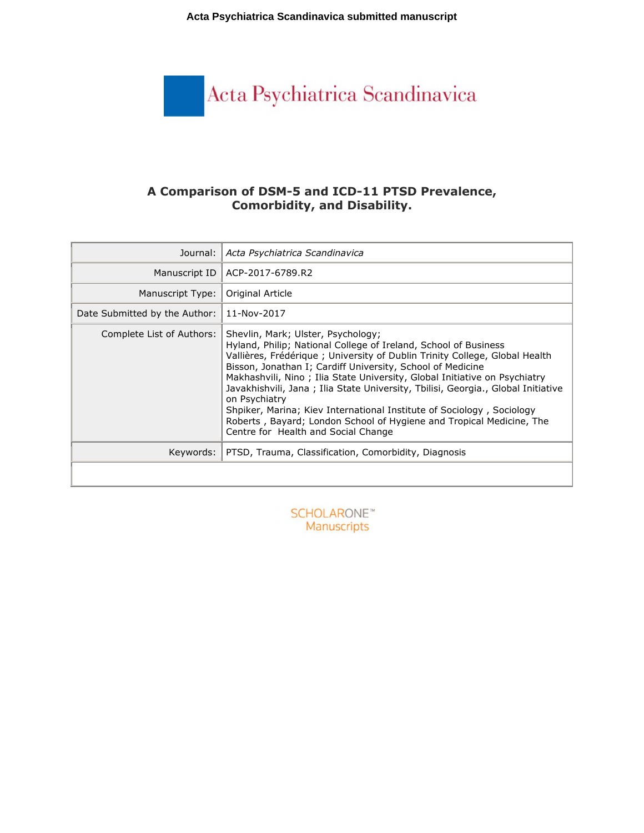**Acta Psychiatrica Scandinavica submitted manuscript**



# **A Comparison of DSM-5 and ICD-11 PTSD Prevalence, Comorbidity, and Disability.**

| Journal:                      | Acta Psychiatrica Scandinavica                                                                                                                                                                                                                                                                                                                                                                                                                                                                                                                                                                                               |  |  |
|-------------------------------|------------------------------------------------------------------------------------------------------------------------------------------------------------------------------------------------------------------------------------------------------------------------------------------------------------------------------------------------------------------------------------------------------------------------------------------------------------------------------------------------------------------------------------------------------------------------------------------------------------------------------|--|--|
| Manuscript ID                 | ACP-2017-6789.R2                                                                                                                                                                                                                                                                                                                                                                                                                                                                                                                                                                                                             |  |  |
| Manuscript Type:              | Original Article                                                                                                                                                                                                                                                                                                                                                                                                                                                                                                                                                                                                             |  |  |
| Date Submitted by the Author: | 11-Nov-2017                                                                                                                                                                                                                                                                                                                                                                                                                                                                                                                                                                                                                  |  |  |
| Complete List of Authors:     | Shevlin, Mark; Ulster, Psychology;<br>Hyland, Philip; National College of Ireland, School of Business<br>Vallières, Frédérique ; University of Dublin Trinity College, Global Health<br>Bisson, Jonathan I; Cardiff University, School of Medicine<br>Makhashvili, Nino; Ilia State University, Global Initiative on Psychiatry<br>Javakhishvili, Jana; Ilia State University, Tbilisi, Georgia., Global Initiative<br>on Psychiatry<br>Shpiker, Marina; Kiev International Institute of Sociology, Sociology<br>Roberts, Bayard; London School of Hygiene and Tropical Medicine, The<br>Centre for Health and Social Change |  |  |
| Keywords:                     | PTSD, Trauma, Classification, Comorbidity, Diagnosis                                                                                                                                                                                                                                                                                                                                                                                                                                                                                                                                                                         |  |  |
|                               |                                                                                                                                                                                                                                                                                                                                                                                                                                                                                                                                                                                                                              |  |  |

**SCHOLARONE™** Manuscripts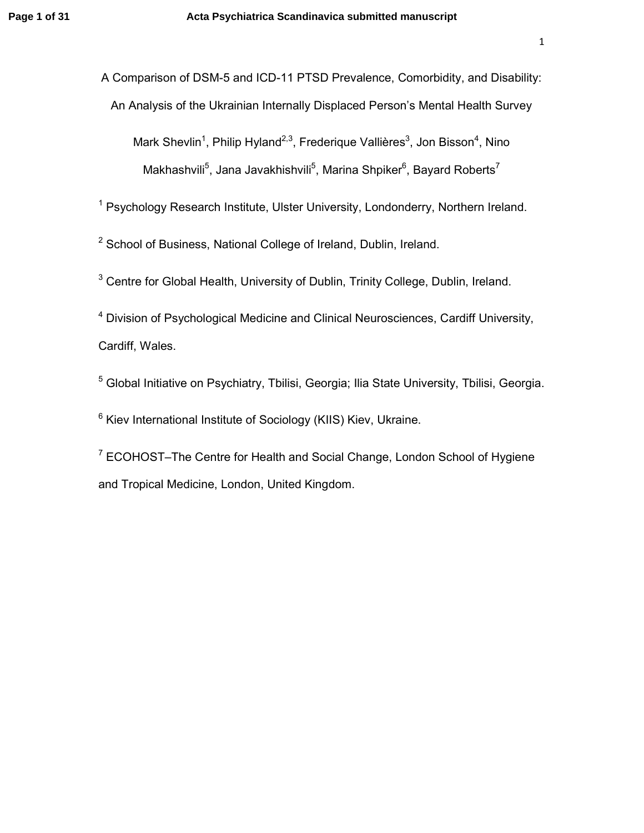A Comparison of DSM-5 and ICD-11 PTSD Prevalence, Comorbidity, and Disability: An Analysis of the Ukrainian Internally Displaced Person's Mental Health Survey

Mark Shevlin<sup>1</sup>, Philip Hyland<sup>2,3</sup>, Frederique Vallières<sup>3</sup>, Jon Bisson<sup>4</sup>, Nino Makhashvili<sup>5</sup>, Jana Javakhishvili<sup>5</sup>, Marina Shpiker<sup>6</sup>, Bayard Roberts<sup>7</sup>

<sup>1</sup> Psychology Research Institute, Ulster University, Londonderry, Northern Ireland.

<sup>2</sup> School of Business, National College of Ireland, Dublin, Ireland.

 $3$  Centre for Global Health, University of Dublin, Trinity College, Dublin, Ireland.

<sup>4</sup> Division of Psychological Medicine and Clinical Neurosciences, Cardiff University, Cardiff, Wales.

<sup>5</sup> Global Initiative on Psychiatry, Tbilisi, Georgia; Ilia State University, Tbilisi, Georgia.

<sup>6</sup> Kiev International Institute of Sociology (KIIS) Kiev, Ukraine.

<sup>7</sup> ECOHOST–The Centre for Health and Social Change, London School of Hygiene and Tropical Medicine, London, United Kingdom.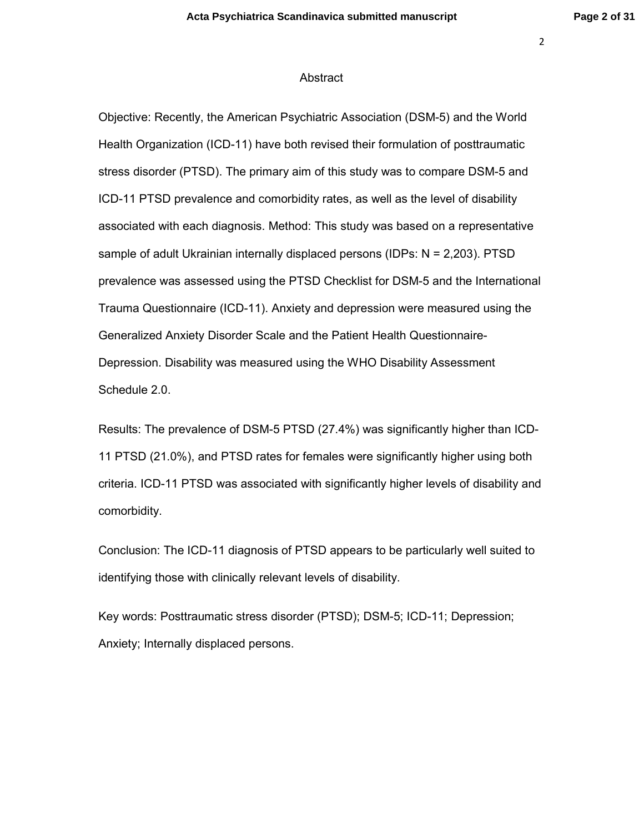#### Abstract

Objective: Recently, the American Psychiatric Association (DSM-5) and the World Health Organization (ICD-11) have both revised their formulation of posttraumatic stress disorder (PTSD). The primary aim of this study was to compare DSM-5 and ICD-11 PTSD prevalence and comorbidity rates, as well as the level of disability associated with each diagnosis. Method: This study was based on a representative sample of adult Ukrainian internally displaced persons (IDPs: N = 2,203). PTSD prevalence was assessed using the PTSD Checklist for DSM-5 and the International Trauma Questionnaire (ICD-11). Anxiety and depression were measured using the Generalized Anxiety Disorder Scale and the Patient Health Questionnaire-Depression. Disability was measured using the WHO Disability Assessment Schedule 2.0.

Results: The prevalence of DSM-5 PTSD (27.4%) was significantly higher than ICD-11 PTSD (21.0%), and PTSD rates for females were significantly higher using both criteria. ICD-11 PTSD was associated with significantly higher levels of disability and comorbidity.

Conclusion: The ICD-11 diagnosis of PTSD appears to be particularly well suited to identifying those with clinically relevant levels of disability.

Key words: Posttraumatic stress disorder (PTSD); DSM-5; ICD-11; Depression; Anxiety; Internally displaced persons.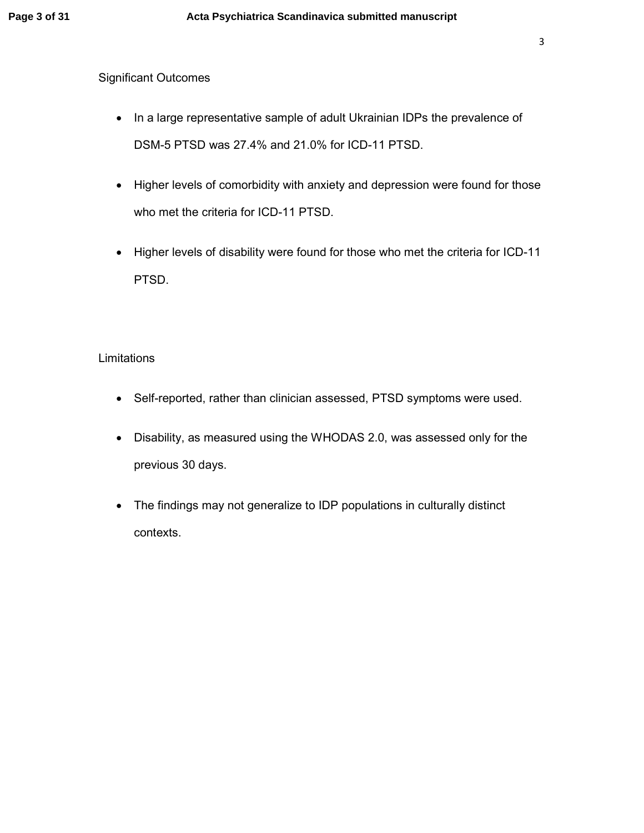## Significant Outcomes

- In a large representative sample of adult Ukrainian IDPs the prevalence of DSM-5 PTSD was 27.4% and 21.0% for ICD-11 PTSD.
- Higher levels of comorbidity with anxiety and depression were found for those who met the criteria for ICD-11 PTSD.
- Higher levels of disability were found for those who met the criteria for ICD-11 PTSD.

## Limitations

- Self-reported, rather than clinician assessed, PTSD symptoms were used.
- Disability, as measured using the WHODAS 2.0, was assessed only for the previous 30 days.
- The findings may not generalize to IDP populations in culturally distinct contexts.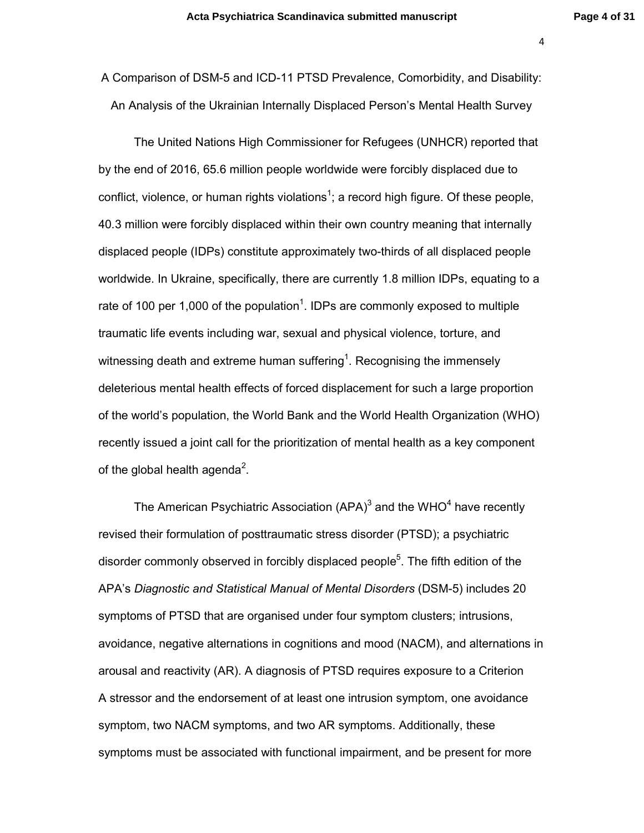A Comparison of DSM-5 and ICD-11 PTSD Prevalence, Comorbidity, and Disability: An Analysis of the Ukrainian Internally Displaced Person's Mental Health Survey

The United Nations High Commissioner for Refugees (UNHCR) reported that by the end of 2016, 65.6 million people worldwide were forcibly displaced due to conflict, violence, or human rights violations<sup>1</sup>; a record high figure. Of these people, 40.3 million were forcibly displaced within their own country meaning that internally displaced people (IDPs) constitute approximately two-thirds of all displaced people worldwide. In Ukraine, specifically, there are currently 1.8 million IDPs, equating to a rate of 100 per 1,000 of the population<sup>1</sup>. IDPs are commonly exposed to multiple traumatic life events including war, sexual and physical violence, torture, and witnessing death and extreme human suffering<sup>1</sup>. Recognising the immensely deleterious mental health effects of forced displacement for such a large proportion of the world's population, the World Bank and the World Health Organization (WHO) recently issued a joint call for the prioritization of mental health as a key component of the global health agenda<sup>2</sup>.

The American Psychiatric Association (APA) $3$  and the WHO $4$  have recently revised their formulation of posttraumatic stress disorder (PTSD); a psychiatric disorder commonly observed in forcibly displaced people<sup>5</sup>. The fifth edition of the APA's *Diagnostic and Statistical Manual of Mental Disorders* (DSM-5) includes 20 symptoms of PTSD that are organised under four symptom clusters; intrusions, avoidance, negative alternations in cognitions and mood (NACM), and alternations in arousal and reactivity (AR). A diagnosis of PTSD requires exposure to a Criterion A stressor and the endorsement of at least one intrusion symptom, one avoidance symptom, two NACM symptoms, and two AR symptoms. Additionally, these symptoms must be associated with functional impairment, and be present for more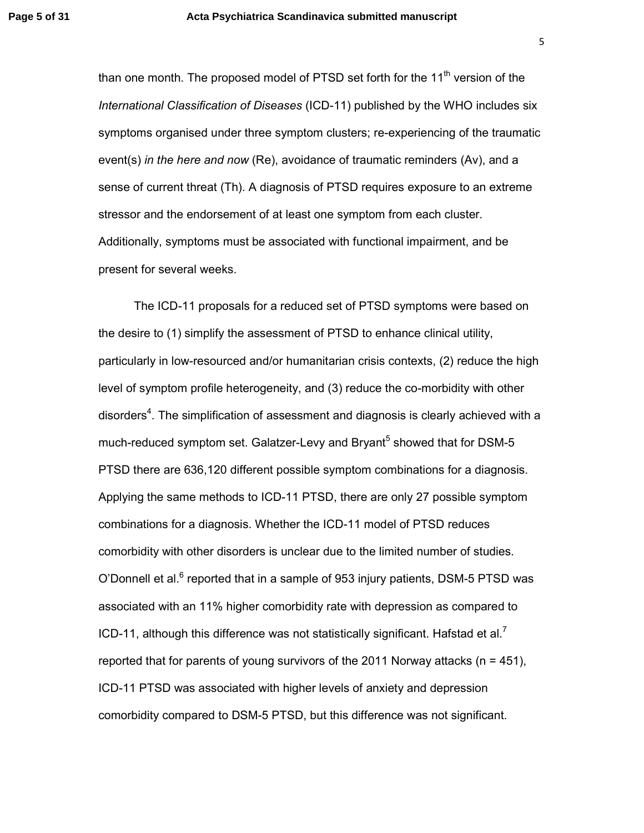than one month. The proposed model of PTSD set forth for the  $11<sup>th</sup>$  version of the *International Classification of Diseases* (ICD-11) published by the WHO includes six symptoms organised under three symptom clusters; re-experiencing of the traumatic event(s) *in the here and now* (Re), avoidance of traumatic reminders (Av), and a sense of current threat (Th). A diagnosis of PTSD requires exposure to an extreme stressor and the endorsement of at least one symptom from each cluster. Additionally, symptoms must be associated with functional impairment, and be present for several weeks.

The ICD-11 proposals for a reduced set of PTSD symptoms were based on the desire to (1) simplify the assessment of PTSD to enhance clinical utility, particularly in low-resourced and/or humanitarian crisis contexts, (2) reduce the high level of symptom profile heterogeneity, and (3) reduce the co-morbidity with other disorders<sup>4</sup>. The simplification of assessment and diagnosis is clearly achieved with a much-reduced symptom set. Galatzer-Levy and Bryant<sup>5</sup> showed that for DSM-5 PTSD there are 636,120 different possible symptom combinations for a diagnosis. Applying the same methods to ICD-11 PTSD, there are only 27 possible symptom combinations for a diagnosis. Whether the ICD-11 model of PTSD reduces comorbidity with other disorders is unclear due to the limited number of studies. O'Donnell et al. $^6$  reported that in a sample of 953 injury patients, DSM-5 PTSD was associated with an 11% higher comorbidity rate with depression as compared to ICD-11, although this difference was not statistically significant. Hafstad et al.<sup>7</sup> reported that for parents of young survivors of the 2011 Norway attacks ( $n = 451$ ), ICD-11 PTSD was associated with higher levels of anxiety and depression comorbidity compared to DSM-5 PTSD, but this difference was not significant.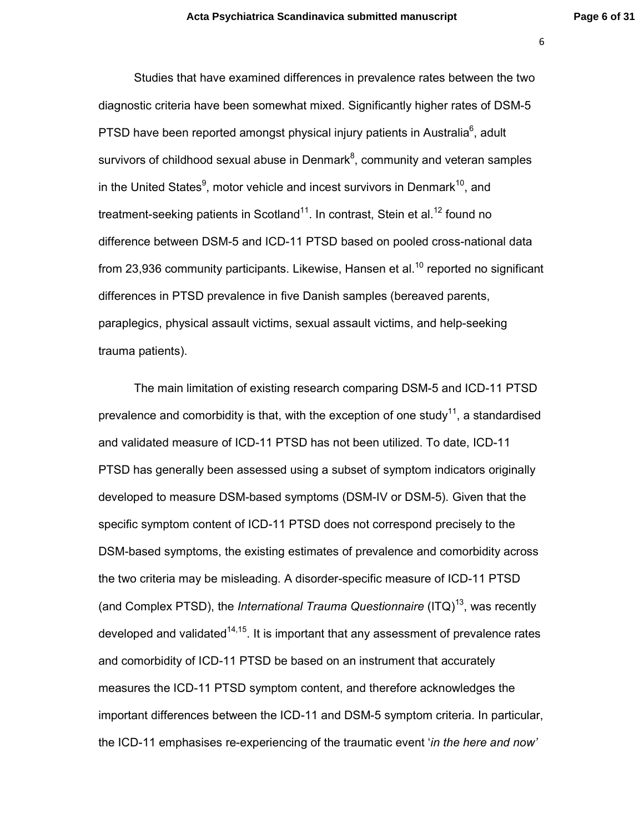Studies that have examined differences in prevalence rates between the two diagnostic criteria have been somewhat mixed. Significantly higher rates of DSM-5 PTSD have been reported amongst physical injury patients in Australia $^6$ , adult survivors of childhood sexual abuse in Denmark $^8$ , community and veteran samples in the United States<sup>9</sup>, motor vehicle and incest survivors in Denmark<sup>10</sup>, and treatment-seeking patients in Scotland<sup>11</sup>. In contrast, Stein et al.<sup>12</sup> found no difference between DSM-5 and ICD-11 PTSD based on pooled cross-national data from 23,936 community participants. Likewise, Hansen et al.<sup>10</sup> reported no significant differences in PTSD prevalence in five Danish samples (bereaved parents, paraplegics, physical assault victims, sexual assault victims, and help-seeking trauma patients).

The main limitation of existing research comparing DSM-5 and ICD-11 PTSD prevalence and comorbidity is that, with the exception of one study<sup>11</sup>, a standardised and validated measure of ICD-11 PTSD has not been utilized. To date, ICD-11 PTSD has generally been assessed using a subset of symptom indicators originally developed to measure DSM-based symptoms (DSM-IV or DSM-5). Given that the specific symptom content of ICD-11 PTSD does not correspond precisely to the DSM-based symptoms, the existing estimates of prevalence and comorbidity across the two criteria may be misleading. A disorder-specific measure of ICD-11 PTSD (and Complex PTSD), the *International Trauma Questionnaire* (ITQ)<sup>13</sup>, was recently developed and validated<sup>14,15</sup>. It is important that any assessment of prevalence rates and comorbidity of ICD-11 PTSD be based on an instrument that accurately measures the ICD-11 PTSD symptom content, and therefore acknowledges the important differences between the ICD-11 and DSM-5 symptom criteria. In particular, the ICD-11 emphasises re-experiencing of the traumatic event '*in the here and now'*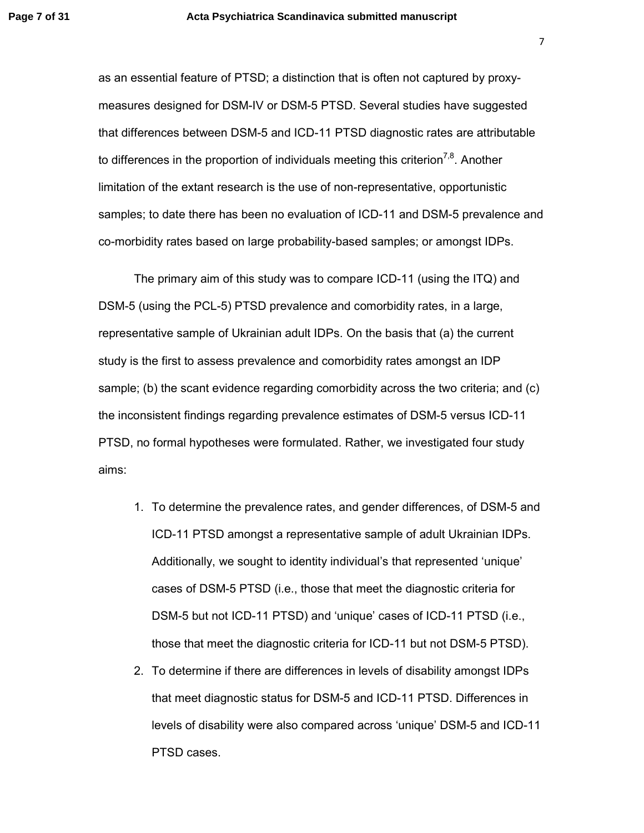as an essential feature of PTSD; a distinction that is often not captured by proxymeasures designed for DSM-IV or DSM-5 PTSD. Several studies have suggested that differences between DSM-5 and ICD-11 PTSD diagnostic rates are attributable to differences in the proportion of individuals meeting this criterion<sup>7,8</sup>. Another limitation of the extant research is the use of non-representative, opportunistic samples; to date there has been no evaluation of ICD-11 and DSM-5 prevalence and co-morbidity rates based on large probability-based samples; or amongst IDPs.

The primary aim of this study was to compare ICD-11 (using the ITQ) and DSM-5 (using the PCL-5) PTSD prevalence and comorbidity rates, in a large, representative sample of Ukrainian adult IDPs. On the basis that (a) the current study is the first to assess prevalence and comorbidity rates amongst an IDP sample; (b) the scant evidence regarding comorbidity across the two criteria; and (c) the inconsistent findings regarding prevalence estimates of DSM-5 versus ICD-11 PTSD, no formal hypotheses were formulated. Rather, we investigated four study aims:

- 1. To determine the prevalence rates, and gender differences, of DSM-5 and ICD-11 PTSD amongst a representative sample of adult Ukrainian IDPs. Additionally, we sought to identity individual's that represented 'unique' cases of DSM-5 PTSD (i.e., those that meet the diagnostic criteria for DSM-5 but not ICD-11 PTSD) and 'unique' cases of ICD-11 PTSD (i.e., those that meet the diagnostic criteria for ICD-11 but not DSM-5 PTSD).
- 2. To determine if there are differences in levels of disability amongst IDPs that meet diagnostic status for DSM-5 and ICD-11 PTSD. Differences in levels of disability were also compared across 'unique' DSM-5 and ICD-11 PTSD cases.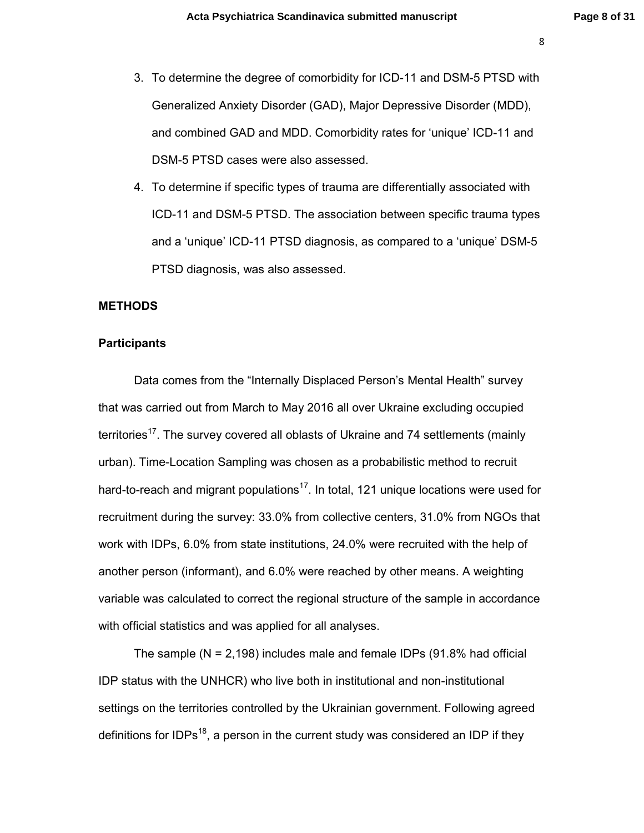- 3. To determine the degree of comorbidity for ICD-11 and DSM-5 PTSD with Generalized Anxiety Disorder (GAD), Major Depressive Disorder (MDD), and combined GAD and MDD. Comorbidity rates for 'unique' ICD-11 and DSM-5 PTSD cases were also assessed.
- 4. To determine if specific types of trauma are differentially associated with ICD-11 and DSM-5 PTSD. The association between specific trauma types and a 'unique' ICD-11 PTSD diagnosis, as compared to a 'unique' DSM-5 PTSD diagnosis, was also assessed.

## **METHODS**

#### **Participants**

Data comes from the "Internally Displaced Person's Mental Health" survey that was carried out from March to May 2016 all over Ukraine excluding occupied territories<sup>17</sup>. The survey covered all oblasts of Ukraine and 74 settlements (mainly urban). Time-Location Sampling was chosen as a probabilistic method to recruit hard-to-reach and migrant populations<sup>17</sup>. In total, 121 unique locations were used for recruitment during the survey: 33.0% from collective centers, 31.0% from NGOs that work with IDPs, 6.0% from state institutions, 24.0% were recruited with the help of another person (informant), and 6.0% were reached by other means. A weighting variable was calculated to correct the regional structure of the sample in accordance with official statistics and was applied for all analyses.

The sample  $(N = 2,198)$  includes male and female IDPs  $(91.8\%$  had official IDP status with the UNHCR) who live both in institutional and non-institutional settings on the territories controlled by the Ukrainian government. Following agreed definitions for IDPs<sup>18</sup>, a person in the current study was considered an IDP if they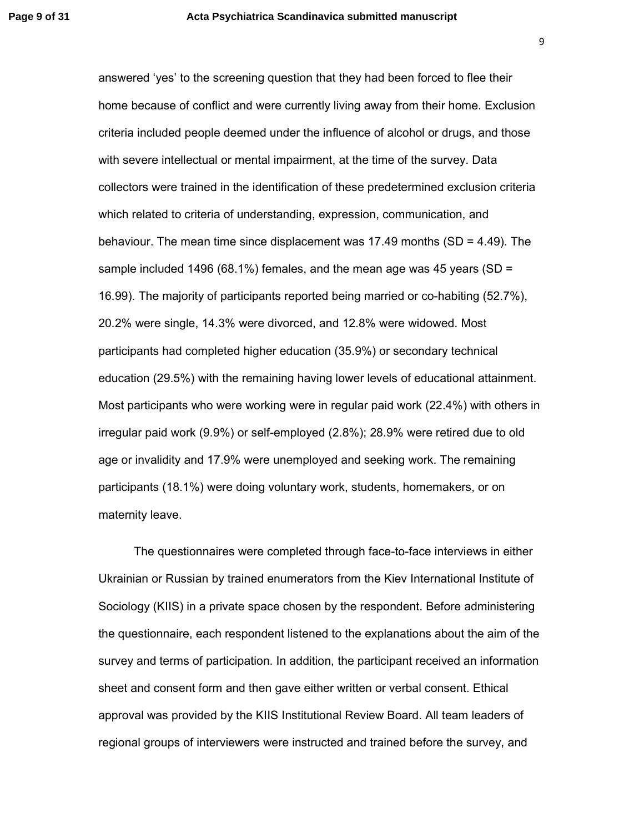answered 'yes' to the screening question that they had been forced to flee their home because of conflict and were currently living away from their home. Exclusion criteria included people deemed under the influence of alcohol or drugs, and those with severe intellectual or mental impairment, at the time of the survey. Data collectors were trained in the identification of these predetermined exclusion criteria which related to criteria of understanding, expression, communication, and behaviour. The mean time since displacement was 17.49 months (SD = 4.49). The sample included 1496 (68.1%) females, and the mean age was 45 years (SD = 16.99). The majority of participants reported being married or co-habiting (52.7%), 20.2% were single, 14.3% were divorced, and 12.8% were widowed. Most participants had completed higher education (35.9%) or secondary technical education (29.5%) with the remaining having lower levels of educational attainment. Most participants who were working were in regular paid work (22.4%) with others in irregular paid work (9.9%) or self-employed (2.8%); 28.9% were retired due to old age or invalidity and 17.9% were unemployed and seeking work. The remaining participants (18.1%) were doing voluntary work, students, homemakers, or on maternity leave.

The questionnaires were completed through face-to-face interviews in either Ukrainian or Russian by trained enumerators from the Kiev International Institute of Sociology (KIIS) in a private space chosen by the respondent. Before administering the questionnaire, each respondent listened to the explanations about the aim of the survey and terms of participation. In addition, the participant received an information sheet and consent form and then gave either written or verbal consent. Ethical approval was provided by the KIIS Institutional Review Board. All team leaders of regional groups of interviewers were instructed and trained before the survey, and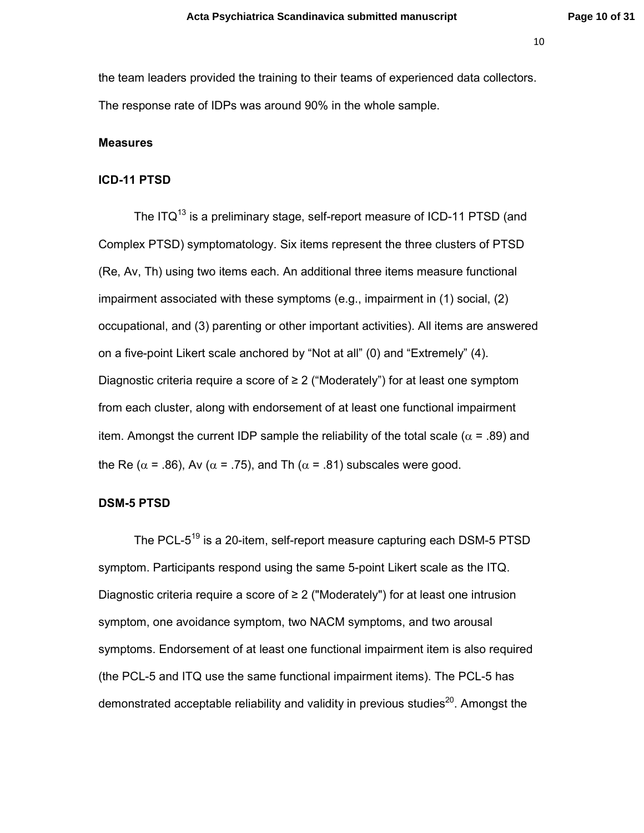the team leaders provided the training to their teams of experienced data collectors. The response rate of IDPs was around 90% in the whole sample.

#### **Measures**

## **ICD-11 PTSD**

The  $ITQ<sup>13</sup>$  is a preliminary stage, self-report measure of ICD-11 PTSD (and Complex PTSD) symptomatology. Six items represent the three clusters of PTSD (Re, Av, Th) using two items each. An additional three items measure functional impairment associated with these symptoms (e.g., impairment in (1) social, (2) occupational, and (3) parenting or other important activities). All items are answered on a five-point Likert scale anchored by "Not at all" (0) and "Extremely" (4). Diagnostic criteria require a score of  $\geq 2$  ("Moderately") for at least one symptom from each cluster, along with endorsement of at least one functional impairment item. Amongst the current IDP sample the reliability of the total scale ( $\alpha$  = .89) and the Re ( $\alpha$  = .86), Av ( $\alpha$  = .75), and Th ( $\alpha$  = .81) subscales were good.

#### **DSM-5 PTSD**

The PCL-5<sup>19</sup> is a 20-item, self-report measure capturing each DSM-5 PTSD symptom. Participants respond using the same 5-point Likert scale as the ITQ. Diagnostic criteria require a score of ≥ 2 ("Moderately") for at least one intrusion symptom, one avoidance symptom, two NACM symptoms, and two arousal symptoms. Endorsement of at least one functional impairment item is also required (the PCL-5 and ITQ use the same functional impairment items). The PCL-5 has demonstrated acceptable reliability and validity in previous studies<sup>20</sup>. Amongst the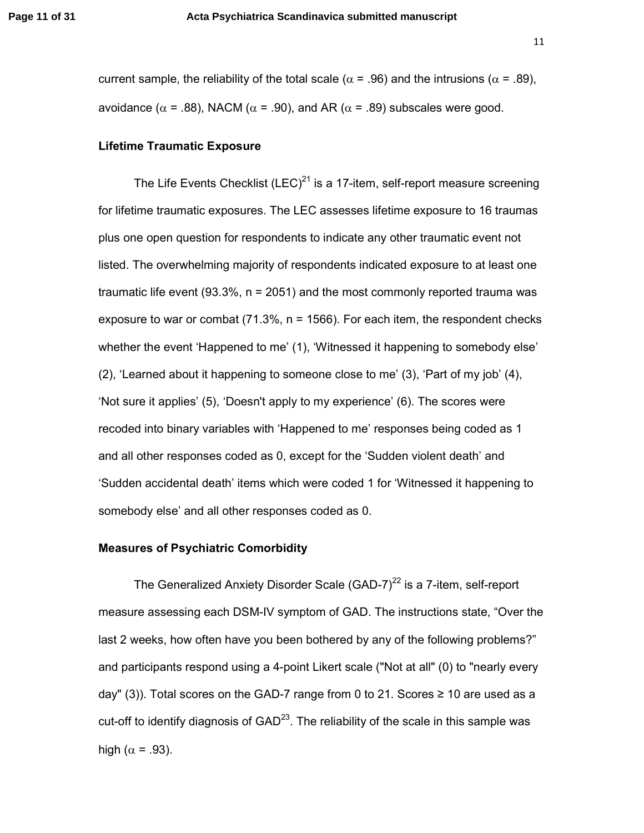current sample, the reliability of the total scale ( $\alpha$  = .96) and the intrusions ( $\alpha$  = .89), avoidance ( $\alpha$  = .88), NACM ( $\alpha$  = .90), and AR ( $\alpha$  = .89) subscales were good.

#### **Lifetime Traumatic Exposure**

The Life Events Checklist (LEC)<sup>21</sup> is a 17-item, self-report measure screening for lifetime traumatic exposures. The LEC assesses lifetime exposure to 16 traumas plus one open question for respondents to indicate any other traumatic event not listed. The overwhelming majority of respondents indicated exposure to at least one traumatic life event (93.3%, n = 2051) and the most commonly reported trauma was exposure to war or combat  $(71.3\% \, n = 1566)$ . For each item, the respondent checks whether the event 'Happened to me' (1), 'Witnessed it happening to somebody else' (2), 'Learned about it happening to someone close to me' (3), 'Part of my job' (4), 'Not sure it applies' (5), 'Doesn't apply to my experience' (6). The scores were recoded into binary variables with 'Happened to me' responses being coded as 1 and all other responses coded as 0, except for the 'Sudden violent death' and 'Sudden accidental death' items which were coded 1 for 'Witnessed it happening to somebody else' and all other responses coded as 0.

#### **Measures of Psychiatric Comorbidity**

The Generalized Anxiety Disorder Scale (GAD-7) $^{22}$  is a 7-item, self-report measure assessing each DSM-IV symptom of GAD. The instructions state, "Over the last 2 weeks, how often have you been bothered by any of the following problems?" and participants respond using a 4-point Likert scale ("Not at all" (0) to "nearly every day" (3)). Total scores on the GAD-7 range from 0 to 21. Scores  $\geq$  10 are used as a cut-off to identify diagnosis of  $GAD^{23}$ . The reliability of the scale in this sample was high ( $\alpha$  = .93).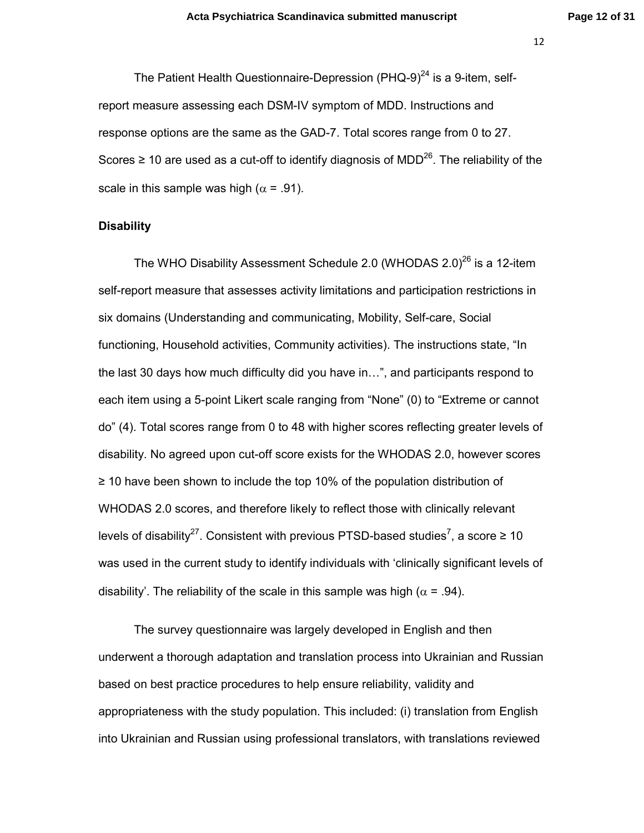The Patient Health Questionnaire-Depression (PHQ-9) $^{24}$  is a 9-item, selfreport measure assessing each DSM-IV symptom of MDD. Instructions and response options are the same as the GAD-7. Total scores range from 0 to 27. Scores  $\geq$  10 are used as a cut-off to identify diagnosis of MDD<sup>26</sup>. The reliability of the scale in this sample was high ( $\alpha$  = .91).

## **Disability**

The WHO Disability Assessment Schedule 2.0 (WHODAS 2.0)<sup>26</sup> is a 12-item self-report measure that assesses activity limitations and participation restrictions in six domains (Understanding and communicating, Mobility, Self-care, Social functioning, Household activities, Community activities). The instructions state, "In the last 30 days how much difficulty did you have in...", and participants respond to each item using a 5-point Likert scale ranging from "None" (0) to "Extreme or cannot do" (4). Total scores range from 0 to 48 with higher scores reflecting greater levels of disability. No agreed upon cut-off score exists for the WHODAS 2.0, however scores ≥ 10 have been shown to include the top 10% of the population distribution of WHODAS 2.0 scores, and therefore likely to reflect those with clinically relevant levels of disability<sup>27</sup>. Consistent with previous PTSD-based studies<sup>7</sup>, a score  $\geq 10$ was used in the current study to identify individuals with 'clinically significant levels of disability'. The reliability of the scale in this sample was high ( $\alpha$  = .94).

The survey questionnaire was largely developed in English and then underwent a thorough adaptation and translation process into Ukrainian and Russian based on best practice procedures to help ensure reliability, validity and appropriateness with the study population. This included: (i) translation from English into Ukrainian and Russian using professional translators, with translations reviewed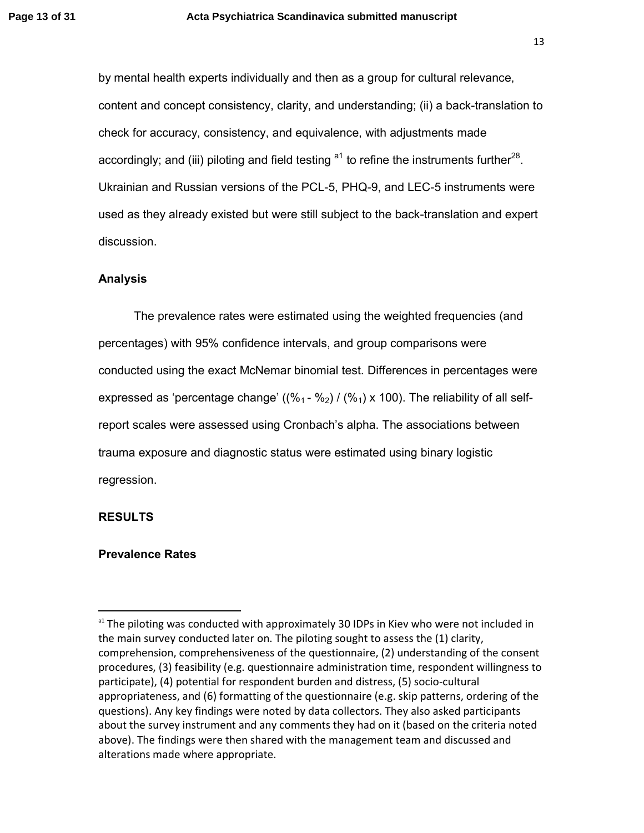by mental health experts individually and then as a group for cultural relevance, content and concept consistency, clarity, and understanding; (ii) a back-translation to check for accuracy, consistency, and equivalence, with adjustments made accordingly; and (iii) piloting and field testing  $a<sup>1</sup>$  to refine the instruments further<sup>28</sup>. Ukrainian and Russian versions of the PCL-5, PHQ-9, and LEC-5 instruments were used as they already existed but were still subject to the back-translation and expert discussion.

## **Analysis**

The prevalence rates were estimated using the weighted frequencies (and percentages) with 95% confidence intervals, and group comparisons were conducted using the exact McNemar binomial test. Differences in percentages were expressed as 'percentage change'  $((\%_{1} - \%_{2}) / (\%_{1}) \times 100)$ . The reliability of all selfreport scales were assessed using Cronbach's alpha. The associations between trauma exposure and diagnostic status were estimated using binary logistic regression.

## **RESULTS**

l,

## **Prevalence Rates**

<sup>&</sup>lt;sup>a1</sup> The piloting was conducted with approximately 30 IDPs in Kiev who were not included in the main survey conducted later on. The piloting sought to assess the (1) clarity, comprehension, comprehensiveness of the questionnaire, (2) understanding of the consent procedures, (3) feasibility (e.g. questionnaire administration time, respondent willingness to participate), (4) potential for respondent burden and distress, (5) socio-cultural appropriateness, and (6) formatting of the questionnaire (e.g. skip patterns, ordering of the questions). Any key findings were noted by data collectors. They also asked participants about the survey instrument and any comments they had on it (based on the criteria noted above). The findings were then shared with the management team and discussed and alterations made where appropriate.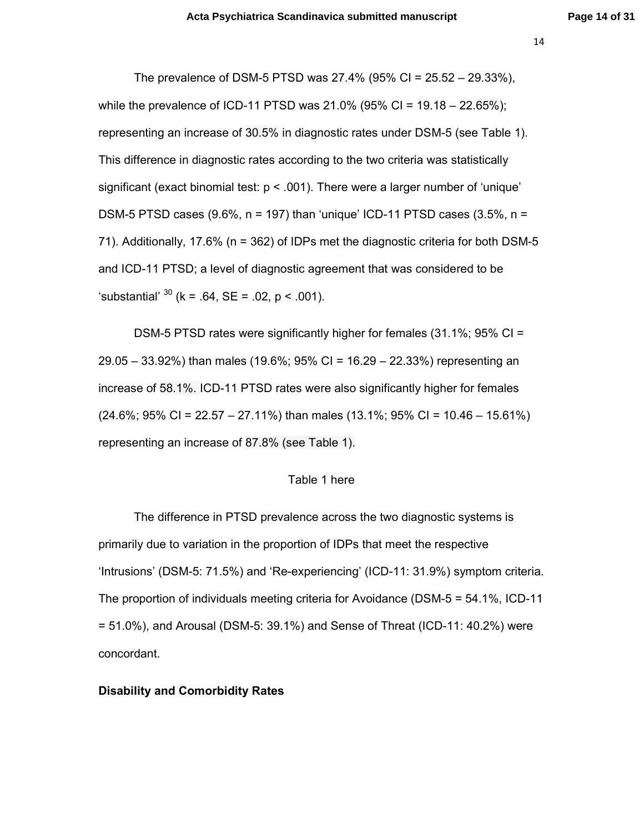The prevalence of DSM-5 PTSD was 27.4% (95% CI = 25.52 – 29.33%), while the prevalence of ICD-11 PTSD was  $21.0\%$  (95% CI = 19.18 – 22.65%); representing an increase of 30.5% in diagnostic rates under DSM-5 (see Table 1). This difference in diagnostic rates according to the two criteria was statistically significant (exact binomial test: p < .001). There were a larger number of 'unique' DSM-5 PTSD cases  $(9.6\%, n = 197)$  than 'unique' ICD-11 PTSD cases  $(3.5\%, n =$ 71). Additionally, 17.6% (n = 362) of IDPs met the diagnostic criteria for both DSM-5 and ICD-11 PTSD; a level of diagnostic agreement that was considered to be 'substantial'  $^{30}$  (k = .64, SE = .02, p < .001).

DSM-5 PTSD rates were significantly higher for females (31.1%; 95% CI = 29.05 – 33.92%) than males (19.6%; 95% CI = 16.29 – 22.33%) representing an increase of 58.1%. ICD-11 PTSD rates were also significantly higher for females  $(24.6\%; 95\% \text{ CI} = 22.57 - 27.11\%)$  than males  $(13.1\%; 95\% \text{ CI} = 10.46 - 15.61\%)$ representing an increase of 87.8% (see Table 1).

#### Table 1 here

 The difference in PTSD prevalence across the two diagnostic systems is primarily due to variation in the proportion of IDPs that meet the respective 'Intrusions' (DSM-5: 71.5%) and 'Re-experiencing' (ICD-11: 31.9%) symptom criteria. The proportion of individuals meeting criteria for Avoidance (DSM-5 = 54.1%, ICD-11 = 51.0%), and Arousal (DSM-5: 39.1%) and Sense of Threat (ICD-11: 40.2%) were concordant.

#### **Disability and Comorbidity Rates**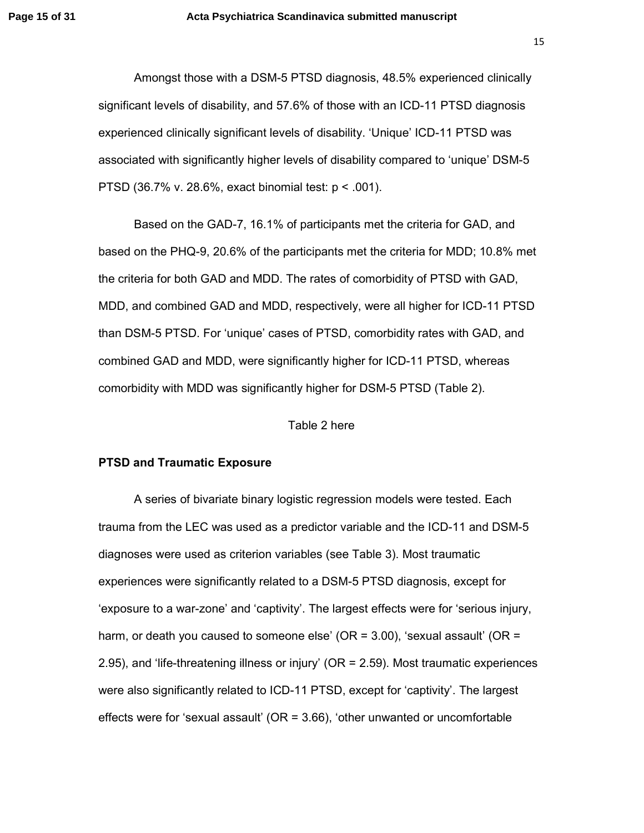Amongst those with a DSM-5 PTSD diagnosis, 48.5% experienced clinically significant levels of disability, and 57.6% of those with an ICD-11 PTSD diagnosis experienced clinically significant levels of disability. 'Unique' ICD-11 PTSD was associated with significantly higher levels of disability compared to 'unique' DSM-5 PTSD (36.7% v. 28.6%, exact binomial test: p < .001).

Based on the GAD-7, 16.1% of participants met the criteria for GAD, and based on the PHQ-9, 20.6% of the participants met the criteria for MDD; 10.8% met the criteria for both GAD and MDD. The rates of comorbidity of PTSD with GAD, MDD, and combined GAD and MDD, respectively, were all higher for ICD-11 PTSD than DSM-5 PTSD. For 'unique' cases of PTSD, comorbidity rates with GAD, and combined GAD and MDD, were significantly higher for ICD-11 PTSD, whereas comorbidity with MDD was significantly higher for DSM-5 PTSD (Table 2).

## Table 2 here

## **PTSD and Traumatic Exposure**

A series of bivariate binary logistic regression models were tested. Each trauma from the LEC was used as a predictor variable and the ICD-11 and DSM-5 diagnoses were used as criterion variables (see Table 3). Most traumatic experiences were significantly related to a DSM-5 PTSD diagnosis, except for 'exposure to a war-zone' and 'captivity'. The largest effects were for 'serious injury, harm, or death you caused to someone else' (OR = 3.00), 'sexual assault' (OR = 2.95), and 'life-threatening illness or injury' (OR = 2.59). Most traumatic experiences were also significantly related to ICD-11 PTSD, except for 'captivity'. The largest effects were for 'sexual assault' ( $OR = 3.66$ ), 'other unwanted or uncomfortable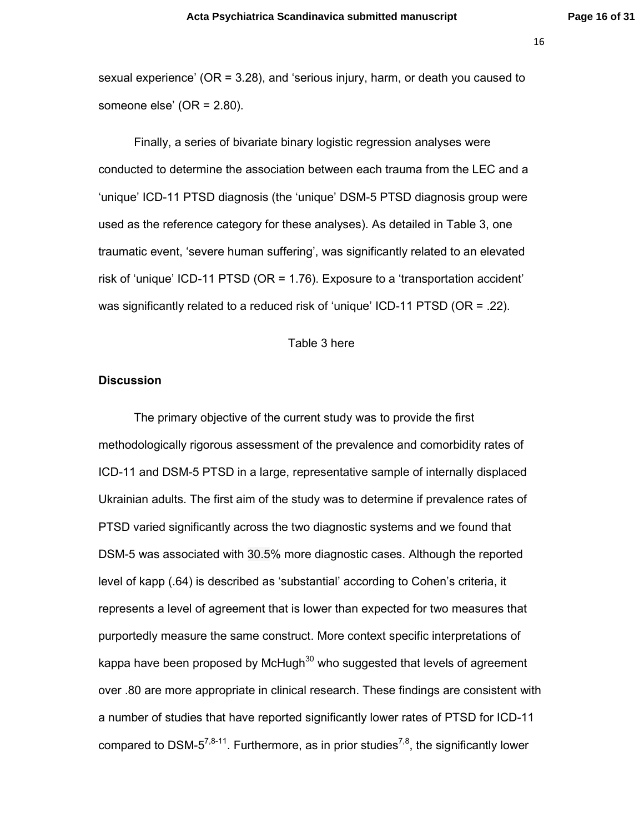sexual experience' (OR = 3.28), and 'serious injury, harm, or death you caused to someone else' (OR = 2.80).

Finally, a series of bivariate binary logistic regression analyses were conducted to determine the association between each trauma from the LEC and a 'unique' ICD-11 PTSD diagnosis (the 'unique' DSM-5 PTSD diagnosis group were used as the reference category for these analyses). As detailed in Table 3, one traumatic event, 'severe human suffering', was significantly related to an elevated risk of 'unique' ICD-11 PTSD (OR = 1.76). Exposure to a 'transportation accident' was significantly related to a reduced risk of 'unique' ICD-11 PTSD (OR = .22).

#### Table 3 here

## **Discussion**

The primary objective of the current study was to provide the first methodologically rigorous assessment of the prevalence and comorbidity rates of ICD-11 and DSM-5 PTSD in a large, representative sample of internally displaced Ukrainian adults. The first aim of the study was to determine if prevalence rates of PTSD varied significantly across the two diagnostic systems and we found that DSM-5 was associated with 30.5% more diagnostic cases. Although the reported level of kapp (.64) is described as 'substantial' according to Cohen's criteria, it represents a level of agreement that is lower than expected for two measures that purportedly measure the same construct. More context specific interpretations of kappa have been proposed by McHugh<sup>30</sup> who suggested that levels of agreement over .80 are more appropriate in clinical research. These findings are consistent with a number of studies that have reported significantly lower rates of PTSD for ICD-11 compared to DSM- $5^{7,8-11}$ . Furthermore, as in prior studies<sup>7,8</sup>, the significantly lower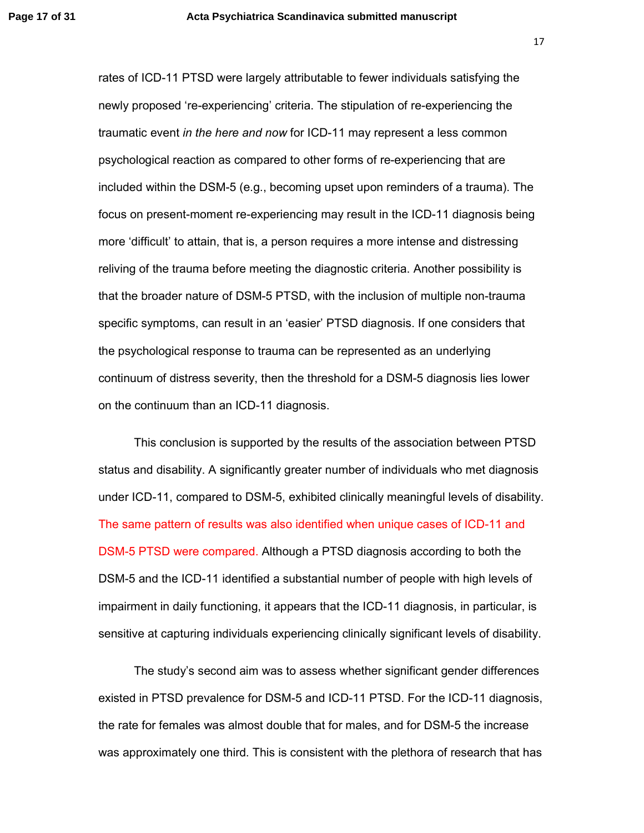rates of ICD-11 PTSD were largely attributable to fewer individuals satisfying the newly proposed 're-experiencing' criteria. The stipulation of re-experiencing the traumatic event *in the here and now* for ICD-11 may represent a less common psychological reaction as compared to other forms of re-experiencing that are included within the DSM-5 (e.g., becoming upset upon reminders of a trauma). The focus on present-moment re-experiencing may result in the ICD-11 diagnosis being more 'difficult' to attain, that is, a person requires a more intense and distressing reliving of the trauma before meeting the diagnostic criteria. Another possibility is that the broader nature of DSM-5 PTSD, with the inclusion of multiple non-trauma specific symptoms, can result in an 'easier' PTSD diagnosis. If one considers that the psychological response to trauma can be represented as an underlying continuum of distress severity, then the threshold for a DSM-5 diagnosis lies lower on the continuum than an ICD-11 diagnosis.

This conclusion is supported by the results of the association between PTSD status and disability. A significantly greater number of individuals who met diagnosis under ICD-11, compared to DSM-5, exhibited clinically meaningful levels of disability. The same pattern of results was also identified when unique cases of ICD-11 and DSM-5 PTSD were compared. Although a PTSD diagnosis according to both the DSM-5 and the ICD-11 identified a substantial number of people with high levels of impairment in daily functioning, it appears that the ICD-11 diagnosis, in particular, is sensitive at capturing individuals experiencing clinically significant levels of disability.

The study's second aim was to assess whether significant gender differences existed in PTSD prevalence for DSM-5 and ICD-11 PTSD. For the ICD-11 diagnosis, the rate for females was almost double that for males, and for DSM-5 the increase was approximately one third. This is consistent with the plethora of research that has

17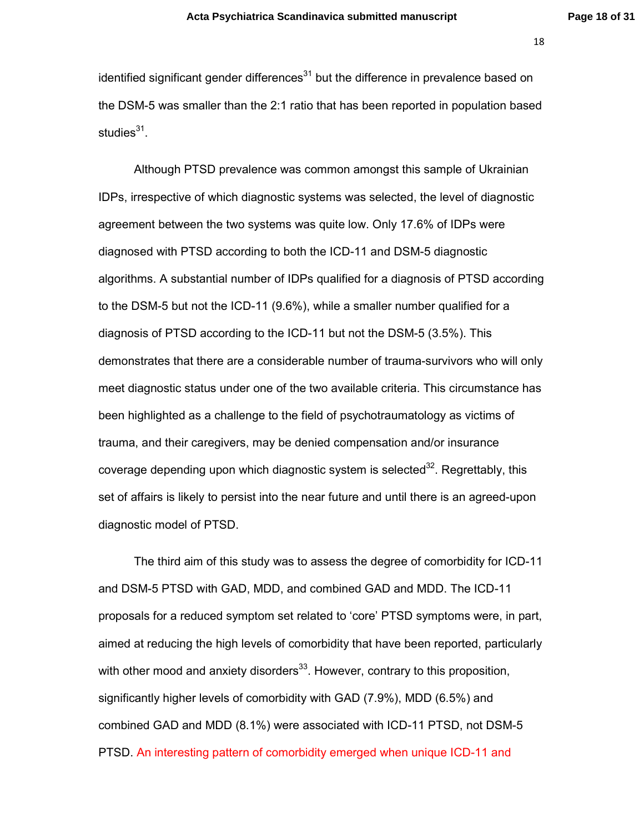identified significant gender differences $31$  but the difference in prevalence based on the DSM-5 was smaller than the 2:1 ratio that has been reported in population based studies<sup>31</sup>.

Although PTSD prevalence was common amongst this sample of Ukrainian IDPs, irrespective of which diagnostic systems was selected, the level of diagnostic agreement between the two systems was quite low. Only 17.6% of IDPs were diagnosed with PTSD according to both the ICD-11 and DSM-5 diagnostic algorithms. A substantial number of IDPs qualified for a diagnosis of PTSD according to the DSM-5 but not the ICD-11 (9.6%), while a smaller number qualified for a diagnosis of PTSD according to the ICD-11 but not the DSM-5 (3.5%). This demonstrates that there are a considerable number of trauma-survivors who will only meet diagnostic status under one of the two available criteria. This circumstance has been highlighted as a challenge to the field of psychotraumatology as victims of trauma, and their caregivers, may be denied compensation and/or insurance coverage depending upon which diagnostic system is selected<sup>32</sup>. Regrettably, this set of affairs is likely to persist into the near future and until there is an agreed-upon diagnostic model of PTSD.

The third aim of this study was to assess the degree of comorbidity for ICD-11 and DSM-5 PTSD with GAD, MDD, and combined GAD and MDD. The ICD-11 proposals for a reduced symptom set related to 'core' PTSD symptoms were, in part, aimed at reducing the high levels of comorbidity that have been reported, particularly with other mood and anxiety disorders<sup>33</sup>. However, contrary to this proposition, significantly higher levels of comorbidity with GAD (7.9%), MDD (6.5%) and combined GAD and MDD (8.1%) were associated with ICD-11 PTSD, not DSM-5 PTSD. An interesting pattern of comorbidity emerged when unique ICD-11 and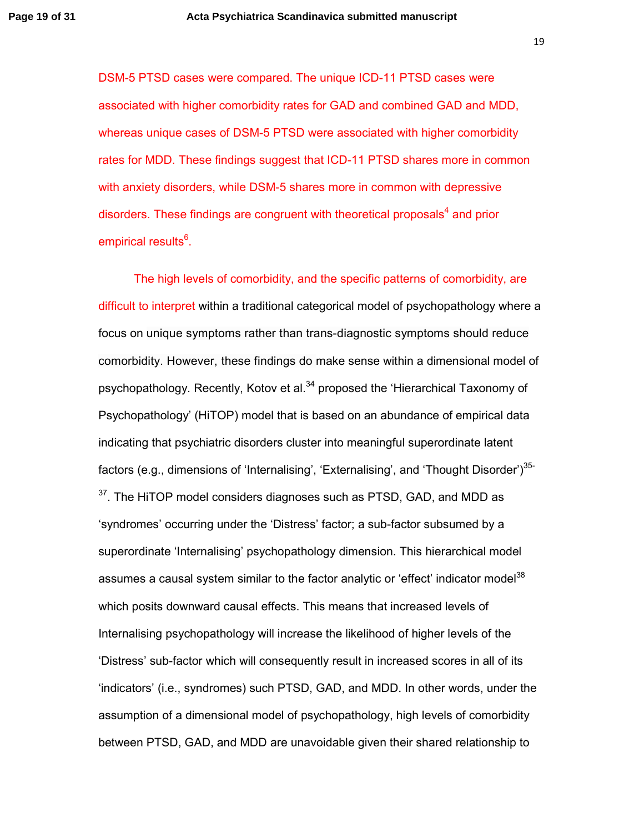DSM-5 PTSD cases were compared. The unique ICD-11 PTSD cases were associated with higher comorbidity rates for GAD and combined GAD and MDD, whereas unique cases of DSM-5 PTSD were associated with higher comorbidity rates for MDD. These findings suggest that ICD-11 PTSD shares more in common with anxiety disorders, while DSM-5 shares more in common with depressive disorders. These findings are congruent with theoretical proposals<sup>4</sup> and prior empirical results<sup>6</sup>.

The high levels of comorbidity, and the specific patterns of comorbidity, are difficult to interpret within a traditional categorical model of psychopathology where a focus on unique symptoms rather than trans-diagnostic symptoms should reduce comorbidity. However, these findings do make sense within a dimensional model of psychopathology. Recently, Kotov et al.<sup>34</sup> proposed the 'Hierarchical Taxonomy of Psychopathology' (HiTOP) model that is based on an abundance of empirical data indicating that psychiatric disorders cluster into meaningful superordinate latent factors (e.g., dimensions of 'Internalising', 'Externalising', and 'Thought Disorder')<sup>35-</sup>  $37$ . The HiTOP model considers diagnoses such as PTSD, GAD, and MDD as 'syndromes' occurring under the 'Distress' factor; a sub-factor subsumed by a superordinate 'Internalising' psychopathology dimension. This hierarchical model assumes a causal system similar to the factor analytic or 'effect' indicator model<sup>38</sup> which posits downward causal effects. This means that increased levels of Internalising psychopathology will increase the likelihood of higher levels of the 'Distress' sub-factor which will consequently result in increased scores in all of its 'indicators' (i.e., syndromes) such PTSD, GAD, and MDD. In other words, under the assumption of a dimensional model of psychopathology, high levels of comorbidity between PTSD, GAD, and MDD are unavoidable given their shared relationship to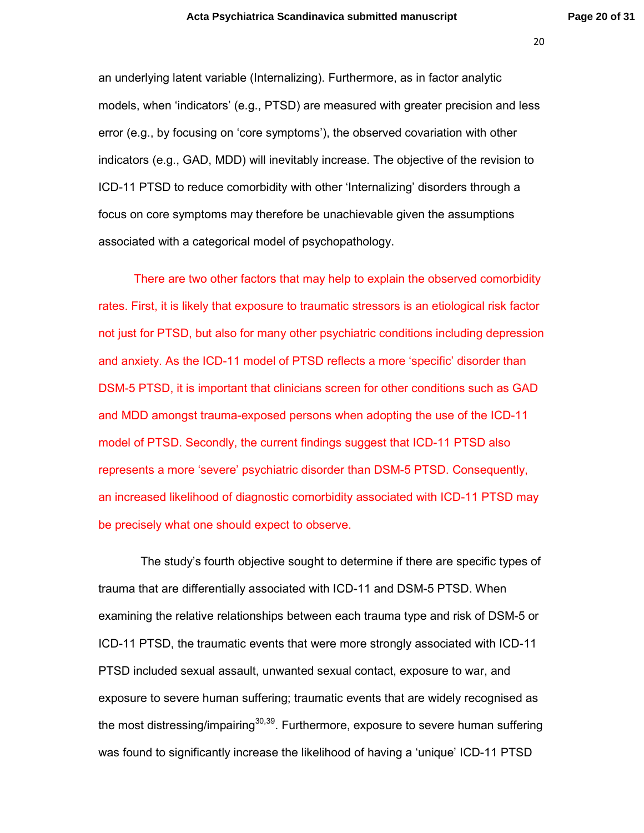an underlying latent variable (Internalizing). Furthermore, as in factor analytic models, when 'indicators' (e.g., PTSD) are measured with greater precision and less error (e.g., by focusing on 'core symptoms'), the observed covariation with other indicators (e.g., GAD, MDD) will inevitably increase. The objective of the revision to ICD-11 PTSD to reduce comorbidity with other 'Internalizing' disorders through a focus on core symptoms may therefore be unachievable given the assumptions associated with a categorical model of psychopathology.

There are two other factors that may help to explain the observed comorbidity rates. First, it is likely that exposure to traumatic stressors is an etiological risk factor not just for PTSD, but also for many other psychiatric conditions including depression and anxiety. As the ICD-11 model of PTSD reflects a more 'specific' disorder than DSM-5 PTSD, it is important that clinicians screen for other conditions such as GAD and MDD amongst trauma-exposed persons when adopting the use of the ICD-11 model of PTSD. Secondly, the current findings suggest that ICD-11 PTSD also represents a more 'severe' psychiatric disorder than DSM-5 PTSD. Consequently, an increased likelihood of diagnostic comorbidity associated with ICD-11 PTSD may be precisely what one should expect to observe.

 The study's fourth objective sought to determine if there are specific types of trauma that are differentially associated with ICD-11 and DSM-5 PTSD. When examining the relative relationships between each trauma type and risk of DSM-5 or ICD-11 PTSD, the traumatic events that were more strongly associated with ICD-11 PTSD included sexual assault, unwanted sexual contact, exposure to war, and exposure to severe human suffering; traumatic events that are widely recognised as the most distressing/impairing<sup>30,39</sup>. Furthermore, exposure to severe human suffering was found to significantly increase the likelihood of having a 'unique' ICD-11 PTSD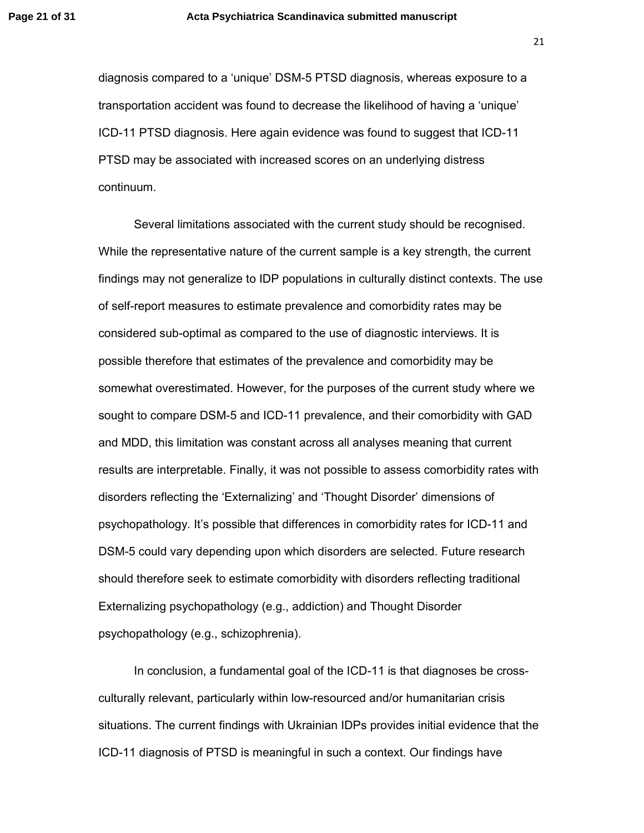diagnosis compared to a 'unique' DSM-5 PTSD diagnosis, whereas exposure to a transportation accident was found to decrease the likelihood of having a 'unique' ICD-11 PTSD diagnosis. Here again evidence was found to suggest that ICD-11 PTSD may be associated with increased scores on an underlying distress continuum.

Several limitations associated with the current study should be recognised. While the representative nature of the current sample is a key strength, the current findings may not generalize to IDP populations in culturally distinct contexts. The use of self-report measures to estimate prevalence and comorbidity rates may be considered sub-optimal as compared to the use of diagnostic interviews. It is possible therefore that estimates of the prevalence and comorbidity may be somewhat overestimated. However, for the purposes of the current study where we sought to compare DSM-5 and ICD-11 prevalence, and their comorbidity with GAD and MDD, this limitation was constant across all analyses meaning that current results are interpretable. Finally, it was not possible to assess comorbidity rates with disorders reflecting the 'Externalizing' and 'Thought Disorder' dimensions of psychopathology. It's possible that differences in comorbidity rates for ICD-11 and DSM-5 could vary depending upon which disorders are selected. Future research should therefore seek to estimate comorbidity with disorders reflecting traditional Externalizing psychopathology (e.g., addiction) and Thought Disorder psychopathology (e.g., schizophrenia).

In conclusion, a fundamental goal of the ICD-11 is that diagnoses be crossculturally relevant, particularly within low-resourced and/or humanitarian crisis situations. The current findings with Ukrainian IDPs provides initial evidence that the ICD-11 diagnosis of PTSD is meaningful in such a context. Our findings have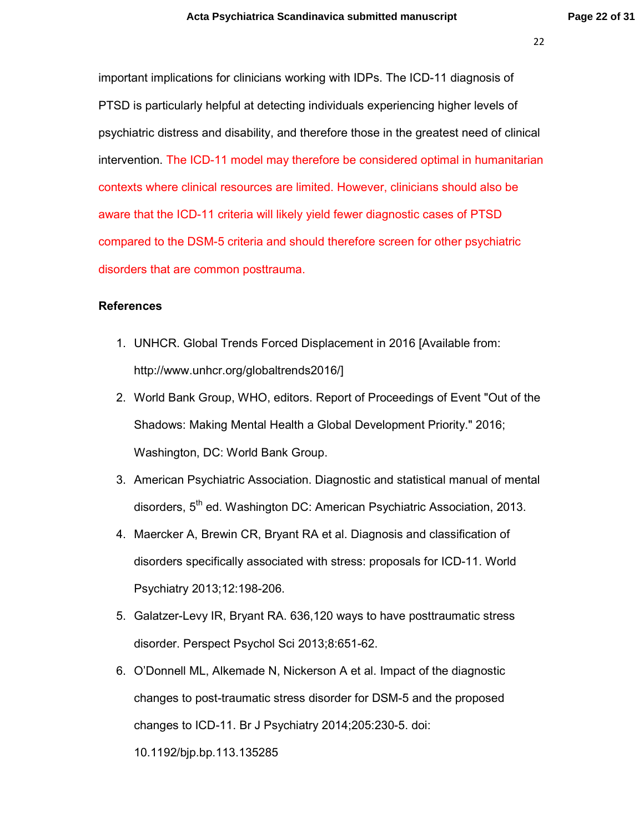important implications for clinicians working with IDPs. The ICD-11 diagnosis of PTSD is particularly helpful at detecting individuals experiencing higher levels of psychiatric distress and disability, and therefore those in the greatest need of clinical intervention. The ICD-11 model may therefore be considered optimal in humanitarian contexts where clinical resources are limited. However, clinicians should also be aware that the ICD-11 criteria will likely yield fewer diagnostic cases of PTSD compared to the DSM-5 criteria and should therefore screen for other psychiatric disorders that are common posttrauma.

## **References**

- 1. UNHCR. Global Trends Forced Displacement in 2016 [Available from: http://www.unhcr.org/globaltrends2016/]
- 2. World Bank Group, WHO, editors. Report of Proceedings of Event "Out of the Shadows: Making Mental Health a Global Development Priority." 2016; Washington, DC: World Bank Group.
- 3. American Psychiatric Association. Diagnostic and statistical manual of mental disorders, 5<sup>th</sup> ed. Washington DC: American Psychiatric Association, 2013.
- 4. Maercker A, Brewin CR, Bryant RA et al. Diagnosis and classification of disorders specifically associated with stress: proposals for ICD-11. World Psychiatry 2013;12:198-206.
- 5. Galatzer-Levy IR, Bryant RA. 636,120 ways to have posttraumatic stress disorder. Perspect Psychol Sci 2013;8:651-62.
- 6. O'Donnell ML, Alkemade N, Nickerson A et al. Impact of the diagnostic changes to post-traumatic stress disorder for DSM-5 and the proposed changes to ICD-11. Br J Psychiatry 2014;205:230-5. doi: 10.1192/bjp.bp.113.135285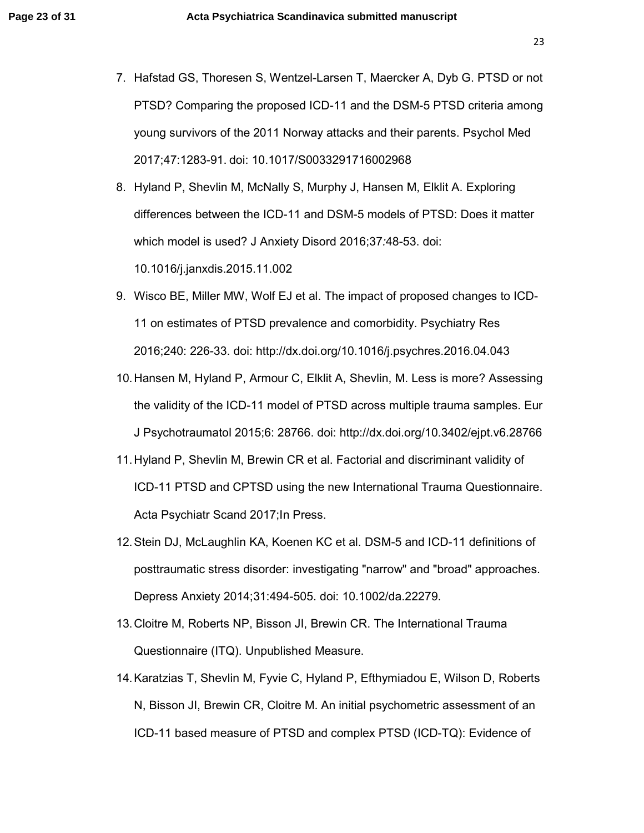7. Hafstad GS, Thoresen S, Wentzel-Larsen T, Maercker A, Dyb G. PTSD or not PTSD? Comparing the proposed ICD-11 and the DSM-5 PTSD criteria among young survivors of the 2011 Norway attacks and their parents. Psychol Med 2017;47:1283-91. doi: 10.1017/S0033291716002968

8. Hyland P, Shevlin M, McNally S, Murphy J, Hansen M, Elklit A. Exploring differences between the ICD-11 and DSM-5 models of PTSD: Does it matter which model is used? J Anxiety Disord 2016;37*:*48-53. doi: 10.1016/j.janxdis.2015.11.002

- 9. Wisco BE, Miller MW, Wolf EJ et al. The impact of proposed changes to ICD-11 on estimates of PTSD prevalence and comorbidity. Psychiatry Res 2016;240: 226-33. doi: http://dx.doi.org/10.1016/j.psychres.2016.04.043
- 10. Hansen M, Hyland P, Armour C, Elklit A, Shevlin, M. Less is more? Assessing the validity of the ICD-11 model of PTSD across multiple trauma samples. Eur J Psychotraumatol 2015;6: 28766. doi: http://dx.doi.org/10.3402/ejpt.v6.28766
- 11. Hyland P, Shevlin M, Brewin CR et al. Factorial and discriminant validity of ICD-11 PTSD and CPTSD using the new International Trauma Questionnaire. Acta Psychiatr Scand 2017;In Press.
- 12. Stein DJ, McLaughlin KA, Koenen KC et al. DSM-5 and ICD-11 definitions of posttraumatic stress disorder: investigating "narrow" and "broad" approaches. Depress Anxiety 2014;31:494-505. doi: 10.1002/da.22279.
- 13. Cloitre M, Roberts NP, Bisson JI, Brewin CR. The International Trauma Questionnaire (ITQ). Unpublished Measure.
- 14. Karatzias T, Shevlin M, Fyvie C, Hyland P, Efthymiadou E, Wilson D, Roberts N, Bisson JI, Brewin CR, Cloitre M. An initial psychometric assessment of an ICD-11 based measure of PTSD and complex PTSD (ICD-TQ): Evidence of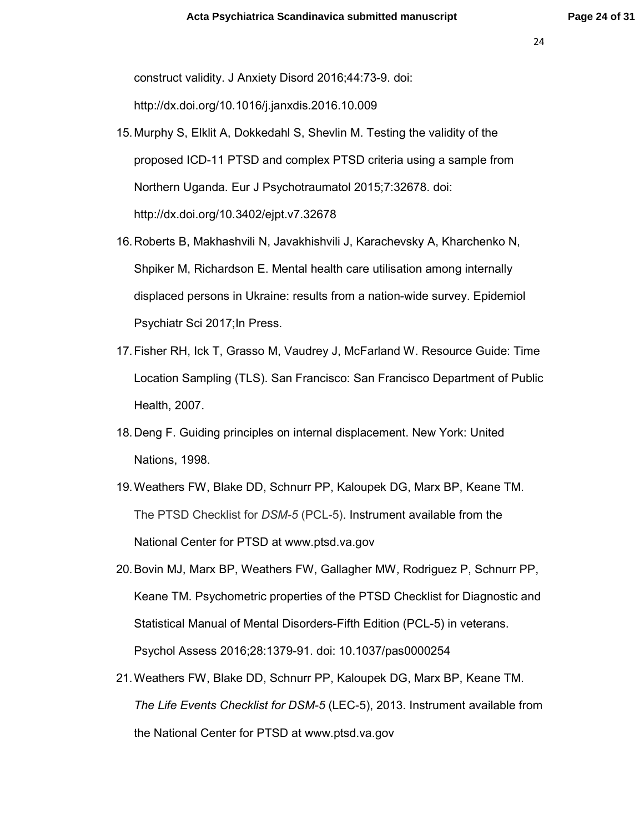construct validity. J Anxiety Disord 2016;44:73-9. doi:

http://dx.doi.org/10.1016/j.janxdis.2016.10.009

- 15. Murphy S, Elklit A, Dokkedahl S, Shevlin M. Testing the validity of the proposed ICD-11 PTSD and complex PTSD criteria using a sample from Northern Uganda. Eur J Psychotraumatol 2015;7:32678. doi: http://dx.doi.org/10.3402/ejpt.v7.32678
- 16. Roberts B, Makhashvili N, Javakhishvili J, Karachevsky A, Kharchenko N, Shpiker M, Richardson E. Mental health care utilisation among internally displaced persons in Ukraine: results from a nation-wide survey. Epidemiol Psychiatr Sci 2017;In Press.
- 17. Fisher RH, Ick T, Grasso M, Vaudrey J, McFarland W. Resource Guide: Time Location Sampling (TLS). San Francisco: San Francisco Department of Public Health, 2007.
- 18. Deng F. Guiding principles on internal displacement. New York: United Nations, 1998.
- 19. Weathers FW, Blake DD, Schnurr PP, Kaloupek DG, Marx BP, Keane TM. The PTSD Checklist for *DSM-5* (PCL-5). Instrument available from the National Center for PTSD at www.ptsd.va.gov
- 20. Bovin MJ, Marx BP, Weathers FW, Gallagher MW, Rodriguez P, Schnurr PP, Keane TM. Psychometric properties of the PTSD Checklist for Diagnostic and Statistical Manual of Mental Disorders-Fifth Edition (PCL-5) in veterans. Psychol Assess 2016;28:1379-91. doi: 10.1037/pas0000254
- 21. Weathers FW, Blake DD, Schnurr PP, Kaloupek DG, Marx BP, Keane TM. *The Life Events Checklist for DSM-5* (LEC-5), 2013. Instrument available from the National Center for PTSD at www.ptsd.va.gov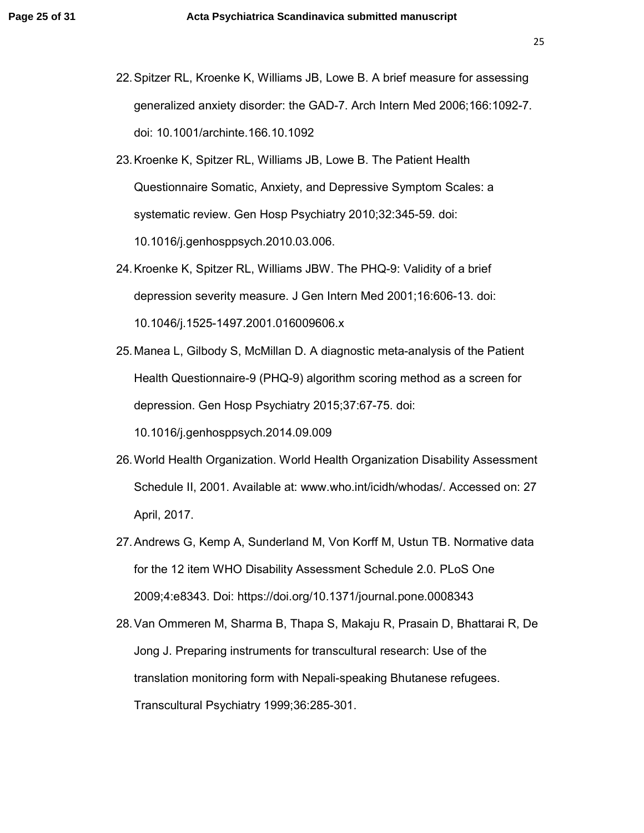- 22. Spitzer RL, Kroenke K, Williams JB, Lowe B. A brief measure for assessing generalized anxiety disorder: the GAD-7. Arch Intern Med 2006;166:1092-7. doi: 10.1001/archinte.166.10.1092
- 23. Kroenke K, Spitzer RL, Williams JB, Lowe B. The Patient Health Questionnaire Somatic, Anxiety, and Depressive Symptom Scales: a systematic review. Gen Hosp Psychiatry 2010;32:345-59. doi: 10.1016/j.genhosppsych.2010.03.006.
- 24. Kroenke K, Spitzer RL, Williams JBW. The PHQ-9: Validity of a brief depression severity measure. J Gen Intern Med 2001;16:606-13. doi: 10.1046/j.1525-1497.2001.016009606.x
- 25. Manea L, Gilbody S, McMillan D. A diagnostic meta-analysis of the Patient Health Questionnaire-9 (PHQ-9) algorithm scoring method as a screen for depression. Gen Hosp Psychiatry 2015;37:67-75. doi:

10.1016/j.genhosppsych.2014.09.009

- 26. World Health Organization. World Health Organization Disability Assessment Schedule II, 2001. Available at: www.who.int/icidh/whodas/. Accessed on: 27 April, 2017.
- 27. Andrews G, Kemp A, Sunderland M, Von Korff M, Ustun TB. Normative data for the 12 item WHO Disability Assessment Schedule 2.0. PLoS One 2009;4:e8343. Doi: https://doi.org/10.1371/journal.pone.0008343
- 28. Van Ommeren M, Sharma B, Thapa S, Makaju R, Prasain D, Bhattarai R, De Jong J. Preparing instruments for transcultural research: Use of the translation monitoring form with Nepali-speaking Bhutanese refugees. Transcultural Psychiatry 1999;36:285-301.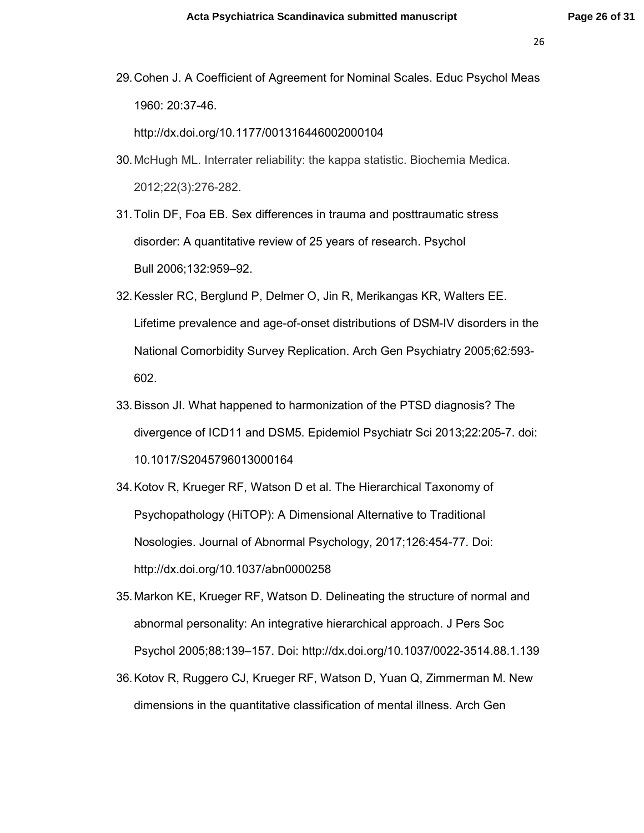29. Cohen J. A Coefficient of Agreement for Nominal Scales. Educ Psychol Meas 1960: 20:37-46.

http://dx.doi.org/10.1177/001316446002000104

30. McHugh ML. Interrater reliability: the kappa statistic. Biochemia Medica. 2012;22(3):276-282.

31. Tolin DF, Foa EB. Sex differences in trauma and posttraumatic stress disorder: A quantitative review of 25 years of research. Psychol Bull 2006;132:959–92.

- 32. Kessler RC, Berglund P, Delmer O, Jin R, Merikangas KR, Walters EE. Lifetime prevalence and age-of-onset distributions of DSM-IV disorders in the National Comorbidity Survey Replication. Arch Gen Psychiatry 2005;62*:*593- 602.
- 33. Bisson JI. What happened to harmonization of the PTSD diagnosis? The divergence of ICD11 and DSM5. Epidemiol Psychiatr Sci 2013;22:205-7. doi: 10.1017/S2045796013000164
- 34. Kotov R, Krueger RF, Watson D et al. The Hierarchical Taxonomy of Psychopathology (HiTOP): A Dimensional Alternative to Traditional Nosologies. Journal of Abnormal Psychology, 2017;126:454-77. Doi: http://dx.doi.org/10.1037/abn0000258
- 35. Markon KE, Krueger RF, Watson D. Delineating the structure of normal and abnormal personality: An integrative hierarchical approach. J Pers Soc Psychol 2005;88:139–157. Doi: http://dx.doi.org/10.1037/0022-3514.88.1.139
- 36. Kotov R, Ruggero CJ, Krueger RF, Watson D, Yuan Q, Zimmerman M. New dimensions in the quantitative classification of mental illness. Arch Gen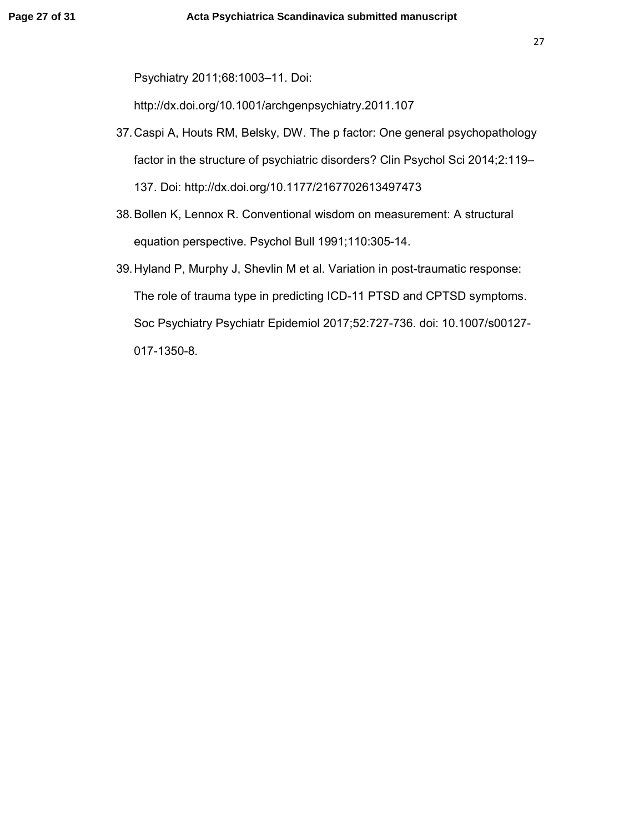Psychiatry 2011;68:1003–11. Doi:

http://dx.doi.org/10.1001/archgenpsychiatry.2011.107

- 37. Caspi A, Houts RM, Belsky, DW. The p factor: One general psychopathology factor in the structure of psychiatric disorders? Clin Psychol Sci 2014;2:119– 137. Doi: http://dx.doi.org/10.1177/2167702613497473
- 38. Bollen K, Lennox R. Conventional wisdom on measurement: A structural equation perspective. Psychol Bull 1991;110:305-14.
- 39. Hyland P, Murphy J, Shevlin M et al. Variation in post-traumatic response: The role of trauma type in predicting ICD-11 PTSD and CPTSD symptoms. Soc Psychiatry Psychiatr Epidemiol 2017;52:727-736. doi: 10.1007/s00127- 017-1350-8.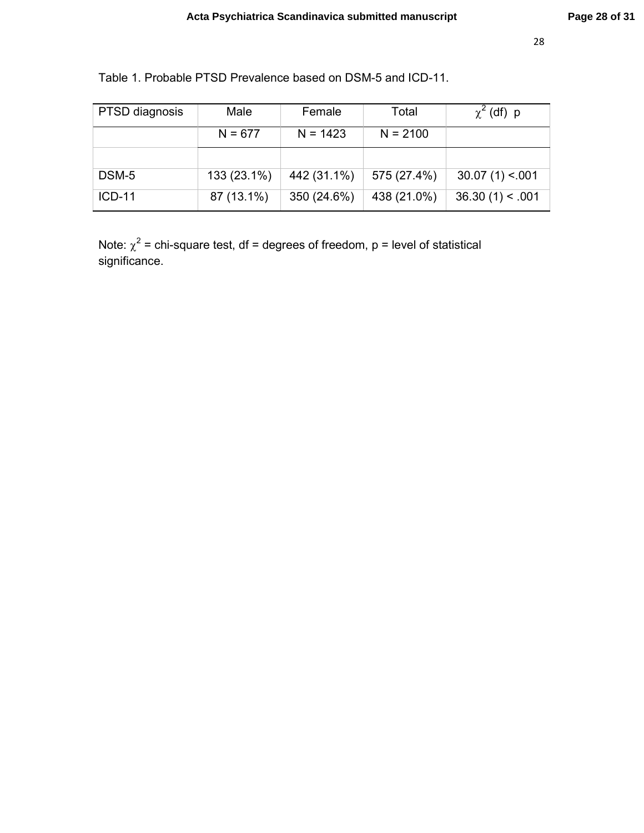| PTSD diagnosis | Male        | Female      | Total       | $\chi^2$ (df) p |
|----------------|-------------|-------------|-------------|-----------------|
|                | $N = 677$   | $N = 1423$  | $N = 2100$  |                 |
|                |             |             |             |                 |
| DSM-5          | 133 (23.1%) | 442 (31.1%) | 575 (27.4%) | 30.07(1) < 001  |
| $ICD-11$       | 87 (13.1%)  | 350 (24.6%) | 438 (21.0%) | 36.30(1) < .001 |

Table 1. Probable PTSD Prevalence based on DSM-5 and ICD-11.

Note:  $\chi^2$  = chi-square test, df = degrees of freedom, p = level of statistical significance.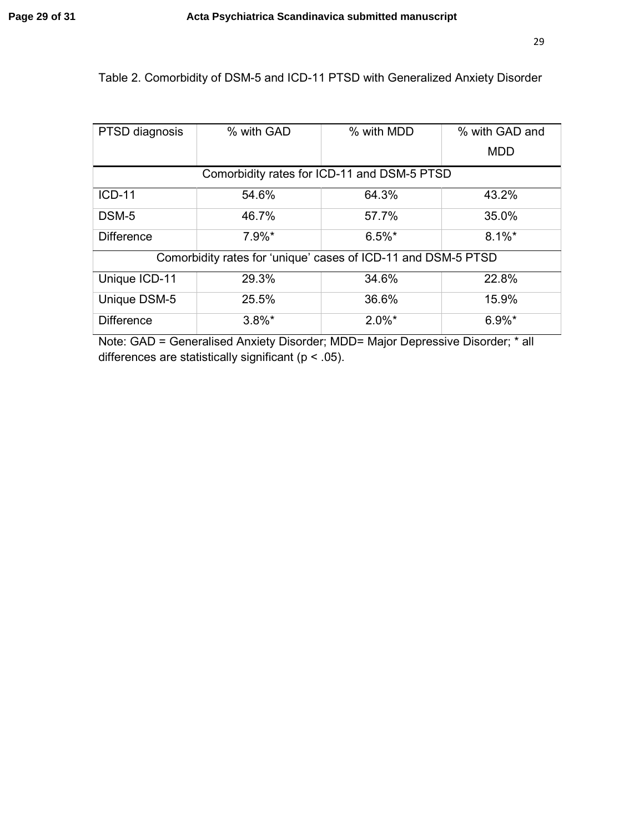# Table 2. Comorbidity of DSM-5 and ICD-11 PTSD with Generalized Anxiety Disorder

| PTSD diagnosis                                                | % with GAD | % with MDD | % with GAD and |  |
|---------------------------------------------------------------|------------|------------|----------------|--|
|                                                               |            |            | <b>MDD</b>     |  |
| Comorbidity rates for ICD-11 and DSM-5 PTSD                   |            |            |                |  |
| <b>ICD-11</b>                                                 | 54.6%      | 64.3%      | 43.2%          |  |
| DSM-5                                                         | 46.7%      | 57.7%      | 35.0%          |  |
| <b>Difference</b>                                             | $7.9\%$ *  | $6.5\%$ *  | $8.1\%$ *      |  |
| Comorbidity rates for 'unique' cases of ICD-11 and DSM-5 PTSD |            |            |                |  |
| Unique ICD-11                                                 | 29.3%      | 34.6%      | 22.8%          |  |
| Unique DSM-5                                                  | 25.5%      | 36.6%      | 15.9%          |  |
| <b>Difference</b>                                             | $3.8\%$ *  | $2.0\%$ *  | $6.9\%$ *      |  |

Note: GAD = Generalised Anxiety Disorder; MDD= Major Depressive Disorder; \* all differences are statistically significant (p < .05).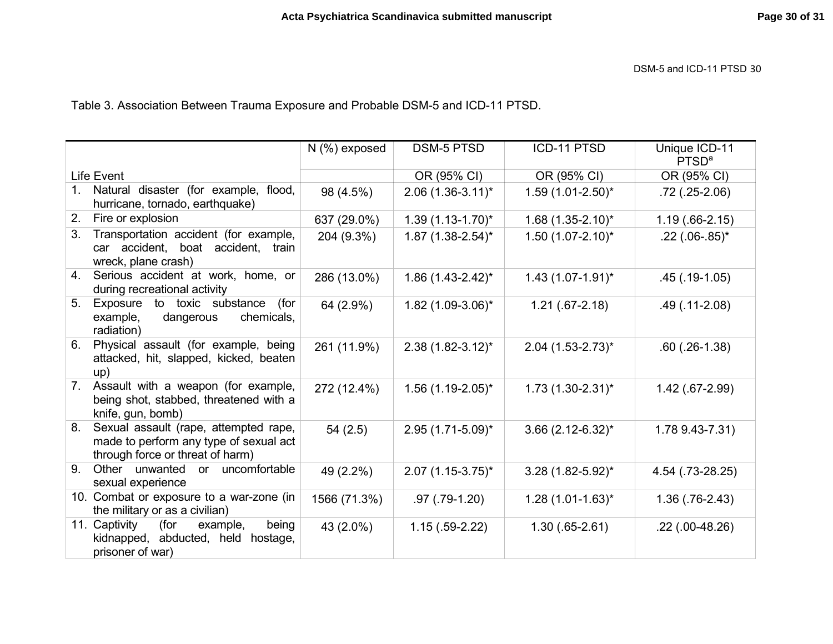DSM-5 and ICD-11 PTSD <sup>30</sup>

Table 3. Association Between Trauma Exposure and Probable DSM-5 and ICD-11 PTSD.

|                                                                                                                           | $N$ (%) exposed | <b>DSM-5 PTSD</b>       | ICD-11 PTSD                     | Unique ICD-11<br>PTSD <sup>a</sup> |
|---------------------------------------------------------------------------------------------------------------------------|-----------------|-------------------------|---------------------------------|------------------------------------|
| Life Event                                                                                                                |                 | OR (95% CI)             | OR (95% CI)                     | OR (95% CI)                        |
| Natural disaster (for example, flood,<br>1.<br>hurricane, tornado, earthquake)                                            | 98 (4.5%)       | $2.06(1.36-3.11)^{*}$   | $1.59(1.01-2.50)^{*}$           | $.72$ (.25-2.06)                   |
| Fire or explosion<br>2.                                                                                                   | 637 (29.0%)     | $1.39(1.13 - 1.70)^{*}$ | $1.68$ (1.35-2.10)*             | $1.19(.66-2.15)$                   |
| Transportation accident (for example,<br>3.<br>car accident, boat accident, train<br>wreck, plane crash)                  | 204 (9.3%)      | $1.87(1.38-2.54)^{*}$   | $1.50(1.07 - 2.10)^{*}$         | $.22$ (.06-.85) <sup>*</sup>       |
| Serious accident at work, home, or<br>4.<br>during recreational activity                                                  | 286 (13.0%)     | $1.86(1.43 - 2.42)^{*}$ | $1.43(1.07-1.91)^{*}$           | $.45(.19-1.05)$                    |
| 5.<br>Exposure to toxic substance<br>(for<br>chemicals,<br>example,<br>dangerous<br>radiation)                            | 64 (2.9%)       | $1.82$ (1.09-3.06)*     | $1.21(.67-2.18)$                | $.49$ $(.11-2.08)$                 |
| Physical assault (for example, being<br>6.<br>attacked, hit, slapped, kicked, beaten<br>up)                               | 261 (11.9%)     | $2.38(1.82 - 3.12)^{*}$ | $2.04$ (1.53-2.73) <sup>*</sup> | $.60$ $(.26-1.38)$                 |
| Assault with a weapon (for example,<br>7.<br>being shot, stabbed, threatened with a<br>knife, gun, bomb)                  | 272 (12.4%)     | $1.56(1.19-2.05)^{*}$   | $1.73$ (1.30-2.31) <sup>*</sup> | 1.42 (.67-2.99)                    |
| Sexual assault (rape, attempted rape,<br>8.<br>made to perform any type of sexual act<br>through force or threat of harm) | 54(2.5)         | $2.95(1.71-5.09)^{*}$   | $3.66$ (2.12-6.32) <sup>*</sup> | 1.78 9.43-7.31)                    |
| Other unwanted or uncomfortable<br>9.<br>sexual experience                                                                | 49 (2.2%)       | $2.07(1.15-3.75)^{*}$   | $3.28$ (1.82-5.92)*             | 4.54 (.73-28.25)                   |
| 10. Combat or exposure to a war-zone (in<br>the military or as a civilian)                                                | 1566 (71.3%)    | $.97(.79-1.20)$         | $1.28(1.01-1.63)^{*}$           | $1.36$ $(.76-2.43)$                |
| 11. Captivity<br>(for<br>being<br>example,<br>kidnapped, abducted, held hostage,<br>prisoner of war)                      | 43 (2.0%)       | $1.15(.59-2.22)$        | $1.30(.65-2.61)$                | $.22$ (.00-48.26)                  |